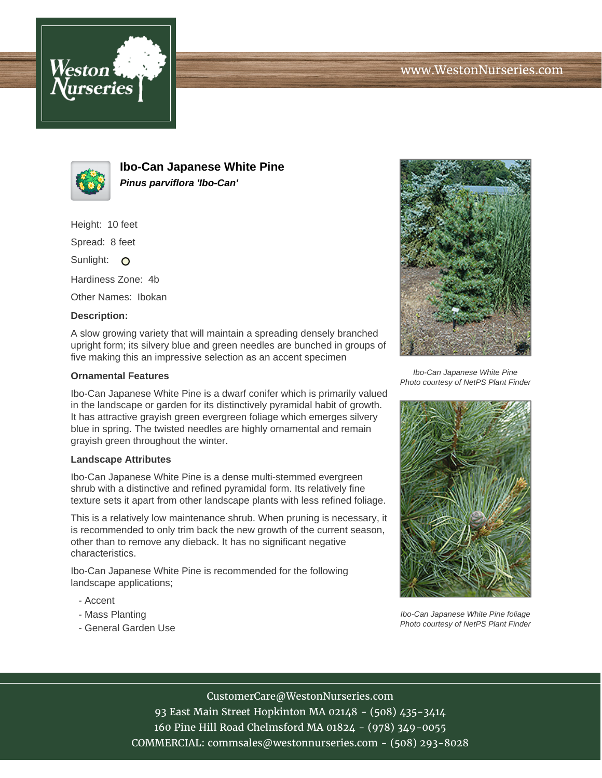



**Ibo-Can Japanese White Pine Pinus parviflora 'Ibo-Can'**

Height: 10 feet

Spread: 8 feet

Sunlight: O

Hardiness Zone: 4b

Other Names: Ibokan

## **Description:**

A slow growing variety that will maintain a spreading densely branched upright form; its silvery blue and green needles are bunched in groups of five making this an impressive selection as an accent specimen

## **Ornamental Features**

Ibo-Can Japanese White Pine is a dwarf conifer which is primarily valued in the landscape or garden for its distinctively pyramidal habit of growth. It has attractive grayish green evergreen foliage which emerges silvery blue in spring. The twisted needles are highly ornamental and remain grayish green throughout the winter.

#### **Landscape Attributes**

Ibo-Can Japanese White Pine is a dense multi-stemmed evergreen shrub with a distinctive and refined pyramidal form. Its relatively fine texture sets it apart from other landscape plants with less refined foliage.

This is a relatively low maintenance shrub. When pruning is necessary, it is recommended to only trim back the new growth of the current season, other than to remove any dieback. It has no significant negative characteristics.

Ibo-Can Japanese White Pine is recommended for the following landscape applications;

- Accent
- Mass Planting
- General Garden Use



Ibo-Can Japanese White Pine Photo courtesy of NetPS Plant Finder



Ibo-Can Japanese White Pine foliage Photo courtesy of NetPS Plant Finder

# CustomerCare@WestonNurseries.com

93 East Main Street Hopkinton MA 02148 - (508) 435-3414 160 Pine Hill Road Chelmsford MA 01824 - (978) 349-0055 COMMERCIAL: commsales@westonnurseries.com - (508) 293-8028